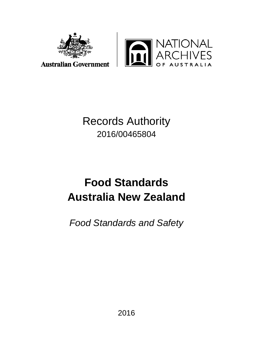



## Records Authority 2016/00465804

# **Food Standards Australia New Zealand**

*Food Standards and Safety*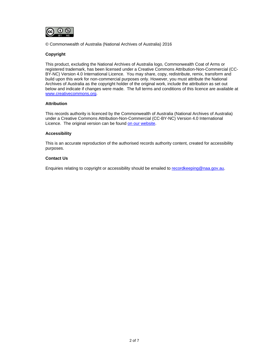

© Commonwealth of Australia (National Archives of Australia) 2016

#### **Copyright**

This product, excluding the National Archives of Australia logo, Commonwealth Coat of Arms or registered trademark, has been licensed under a Creative Commons Attribution-Non-Commercial (CC-BY-NC) Version 4.0 International Licence. You may share, copy, redistribute, remix, transform and build upon this work for non-commercial purposes only. However, you must attribute the National Archives of Australia as the copyright holder of the original work, include the attribution as set out below and indicate if changes were made. The full terms and conditions of this licence are available at [www.creativecommons.org.](http://www.creativecommons.org/)

#### **Attribution**

This records authority is licenced by the Commonwealth of Australia (National Archives of Australia) under a Creative Commons Attribution-Non-Commercial (CC-BY-NC) Version 4.0 International Licence. The original version can be found [on our website.](http://www.naa.gov.au/)

#### **Accessibility**

This is an accurate reproduction of the authorised records authority content, created for accessibility purposes.

#### **Contact Us**

Enquiries relating to copyright or accessibility should be emailed to [recordkeeping@naa.gov.au.](mailto:recordkeeping@naa.gov.au)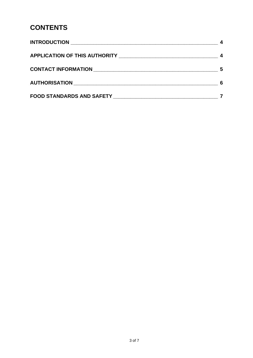### **CONTENTS**

| CONTACT INFORMATION NAMES AND RESIDENCE ON A SERIES OF STREET AND RESIDENCE OF STREET AND RESIDENCE OF STREET | 5 |
|---------------------------------------------------------------------------------------------------------------|---|
|                                                                                                               |   |
| FOOD STANDARDS AND SAFETY <b>And SEPARATE STANDARDS</b>                                                       |   |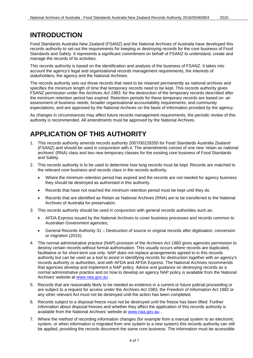### <span id="page-3-0"></span>**INTRODUCTION**

Food Standards Australia New Zealand (FSANZ) and the National Archives of Australia have developed this records authority to set out the requirements for keeping or destroying records for the core business of Food Standards and Safety. It represents a significant commitment on behalf of FSANZ to understand, create and manage the records of its activities.

This records authority is based on the identification and analysis of the business of FSANZ. It takes into account the agency's legal and organisational records management requirements, the interests of stakeholders, the agency and the National Archives.

The records authority sets out those records that need to be retained permanently as national archives and specifies the minimum length of time that temporary records need to be kept. This records authority gives FSANZ permission under the *Archives Act 1983*, for the destruction of the temporary records described after the minimum retention period has expired. Retention periods for these temporary records are based on: an assessment of business needs; broader organisational accountability requirements; and community expectations, and are approved by the National Archives on the basis of information provided by the agency.

As changes in circumstances may affect future records management requirements, the periodic review of this authority is recommended. All amendments must be approved by the National Archives.

### <span id="page-3-1"></span>**APPLICATION OF THIS AUTHORITY**

- 1. This records authority amends records authority 2007/00228350 for Food Standards Australia Zealand (FSANZ) and should be used in conjunction with it. The amendments consist of one new 'retain as national archives' (RNA) class and two new temporary classes for the existing core business of Food Standards and Safety.
- 2. This records authority is to be used to determine how long records must be kept. Records are matched to the relevant core business and records class in the records authority.
	- Where the minimum retention period has expired and the records are not needed for agency business they should be destroyed as authorised in this authority.
	- Records that have not reached the minimum retention period must be kept until they do.
	- Records that are identified as Retain as National Archives (RNA) are to be transferred to the National Archives of Australia for preservation.
- 3. This records authority should be used in conjunction with general records authorities such as:
	- AFDA Express issued by the National Archives to cover business processes and records common to Australian Government agencies;
	- General Records Authority 31 Destruction of source or original records after digitisation, conversion or migration (2015).
- 4. The normal administrative practice (NAP) provision of the *Archives Act 1983* gives agencies permission to destroy certain records without formal authorisation. This usually occurs where records are duplicated, facilitative or for short-term use only. NAP does not replace arrangements agreed to in this records authority but can be used as a tool to assist in identifying records for destruction together with an agency's records authority or authorities, and with AFDA and AFDA Express. The National Archives recommends that agencies develop and implement a NAP policy. Advice and guidance on destroying records as a normal administrative practice and on how to develop an agency NAP policy is available from the National Archives' website at [www.naa.gov.au](http://www.naa.gov.au/) .
- 5. Records that are reasonably likely to be needed as evidence in a current or future judicial proceeding or are subject to a request for access under the *Archives Act 1983*, the *Freedom of Information Act 1982* or any other relevant Act must not be destroyed until the action has been completed.
- 6. Records subject to a disposal freeze must not be destroyed until the freeze has been lifted. Further information about disposal freezes and whether they affect the application of this records authority is available from the National Archives' website at [www.naa.gov.au](http://www.naa.gov.au/) .
- 7. Where the method of recording information changes (for example from a manual system to an electronic system, or when information is migrated from one system to a new system) this records authority can still be applied, providing the records document the same core business. The information must be accessible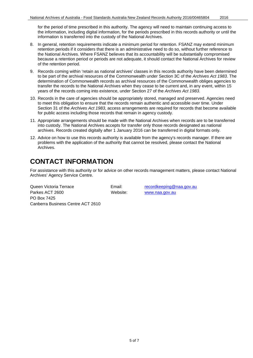for the period of time prescribed in this authority. The agency will need to maintain continuing access to the information, including digital information, for the periods prescribed in this records authority or until the information is transferred into the custody of the National Archives.

- 8. In general, retention requirements indicate a minimum period for retention. FSANZ may extend minimum retention periods if it considers that there is an administrative need to do so, without further reference to the National Archives. Where FSANZ believes that its accountability will be substantially compromised because a retention period or periods are not adequate, it should contact the National Archives for review of the retention period.
- 9. Records coming within 'retain as national archives' classes in this records authority have been determined to be part of the archival resources of the Commonwealth under Section 3C of the *Archives Act 1983*. The determination of Commonwealth records as archival resources of the Commonwealth obliges agencies to transfer the records to the National Archives when they cease to be current and, in any event, within 15 years of the records coming into existence, under Section 27 of the *Archives Act 1983*.
- 10. Records in the care of agencies should be appropriately stored, managed and preserved. Agencies need to meet this obligation to ensure that the records remain authentic and accessible over time. Under Section 31 of the *Archives Act 1983*, access arrangements are required for records that become available for public access including those records that remain in agency custody.
- 11. Appropriate arrangements should be made with the National Archives when records are to be transferred into custody. The National Archives accepts for transfer only those records designated as national archives. Records created digitally after 1 January 2016 can be transferred in digital formats only.
- 12. Advice on how to use this records authority is available from the agency's records manager. If there are problems with the application of the authority that cannot be resolved, please contact the National **Archives**

### <span id="page-4-0"></span>**CONTACT INFORMATION**

For assistance with this authority or for advice on other records management matters, please contact National Archives' Agency Service Centre.

Queen Victoria Terrace **Email:** Ferrace Email: [recordkeeping@naa.gov.au](mailto:recordkeeping@naa.gov.au) Parkes ACT 2600 Website: [www.naa.gov.au](http://www.naa.gov.au/) PO Box 7425 Canberra Business Centre ACT 2610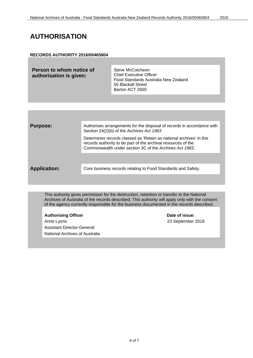### <span id="page-5-0"></span>**AUTHORISATION**

#### **RECORDS AUTHORITY 2016/00465804**

**Person to whom notice of authorisation is given:**

Steve McCutcheon Chief Executive Officer Food Standards Australia New Zealand 55 Blackall Street Barton ACT 2600

| <b>Purpose:</b>     | Authorises arrangements for the disposal of records in accordance with<br>Section 24(2)(b) of the Archives Act 1983                                                                             |
|---------------------|-------------------------------------------------------------------------------------------------------------------------------------------------------------------------------------------------|
|                     | Determines records classed as 'Retain as national archives' in this<br>records authority to be part of the archival resources of the<br>Commonwealth under section 3C of the Archives Act 1983. |
|                     |                                                                                                                                                                                                 |
| <b>Application:</b> | Core business records relating to Food Standards and Safety.                                                                                                                                    |
|                     |                                                                                                                                                                                                 |

This authority gives permission for the destruction, retention or transfer to the National Archives of Australia of the records described. This authority will apply only with the consent of the agency currently responsible for the business documented in the records described.

Authorising Officer **Contact Contact Contact Contact Contact Contact Contact Contact Contact Contact Contact Contact Contact Contact Contact Contact Contact Contact Contact Contact Contact Contact Contact Contact Contact C** Anne Lyons 23 September 2016 Assistant Director-General National Archives of Australia